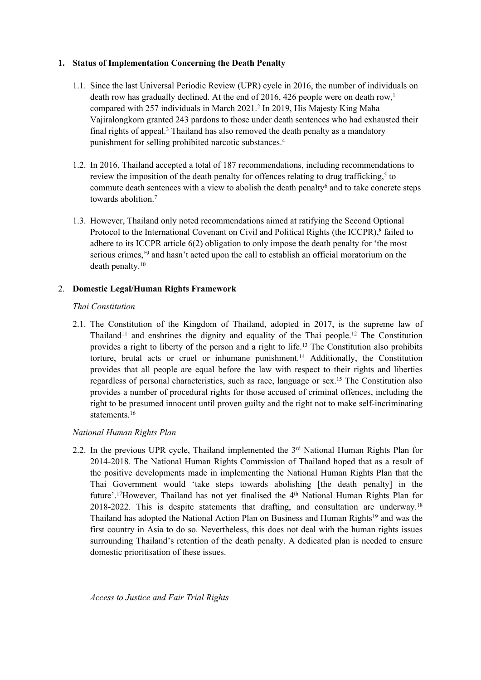# **1. Status of Implementation Concerning the Death Penalty**

- 1.1. Since the last Universal Periodic Review (UPR) cycle in 2016, the number of individuals on death row has gradually declined. At the end of 2016, 426 people were on death row, 1 compared with 257 individuals in March 2021. 2 In 2019, His Majesty King Maha Vajiralongkorn granted 243 pardons to those under death sentences who had exhausted their final rights of appeal.<sup>3</sup> Thailand has also removed the death penalty as a mandatory punishment for selling prohibited narcotic substances. 4
- 1.2. In 2016, Thailand accepted <sup>a</sup> total of 187 recommendations, including recommendations to review the imposition of the death penalty for offences relating to drug trafficking,<sup>5</sup> to commute death sentences with a view to abolish the death penalty<sup>6</sup> and to take concrete steps towards abolition. 7
- 1.3. However, Thailand only noted recommendations aimed at ratifying the Second Optional Protocol to the International Covenant on Civil and Political Rights (the ICCPR),<sup>8</sup> failed to adhere to its ICCPR article 6(2) obligation to only impose the death penalty for 'the most serious crimes,' 9 and hasn'<sup>t</sup> acted upon the call to establish an official moratorium on the death penalty. $^{10}$

# 2. **Domestic Legal/Human Rights Framework**

## *Thai Constitution*

2.1. The Constitution of the Kingdom of Thailand, adopted in 2017, is the supreme law of Thailand<sup>11</sup> and enshrines the dignity and equality of the Thai people.<sup>12</sup> The Constitution provides <sup>a</sup> right to liberty of the person and <sup>a</sup> right to life. 13 The Constitution also prohibits torture, brutal acts or cruel or inhumane punishment. <sup>14</sup> Additionally, the Constitution provides that all people are equal before the law with respec<sup>t</sup> to their rights and liberties regardless of personal characteristics, such as race, language or sex.<sup>15</sup> The Constitution also provides <sup>a</sup> number of procedural rights for those accused of criminal offences, including the right to be presumed innocent until proven guilty and the right not to make self-incriminating statements.<sup>16</sup>

# *National Human Rights Plan*

2.2. In the previous UPR cycle, Thailand implemented the 3rd National Human Rights Plan for 2014-2018. The National Human Rights Commission of Thailand hoped that as <sup>a</sup> result of the positive developments made in implementing the National Human Rights Plan that the Thai Government would 'take steps towards abolishing [the death penalty] in the future'.<sup>17</sup>However, Thailand has not yet finalised the 4<sup>th</sup> National Human Rights Plan for 2018-2022. This is despite statements that drafting, and consultation are underway.<sup>18</sup> Thailand has adopted the National Action Plan on Business and Human Rights<sup>19</sup> and was the first country in Asia to do so. Nevertheless, this does not deal with the human rights issues surrounding Thailand'<sup>s</sup> retention of the death penalty. A dedicated plan is needed to ensure domestic prioritisation of these issues.

*Access to Justice and Fair Trial Rights*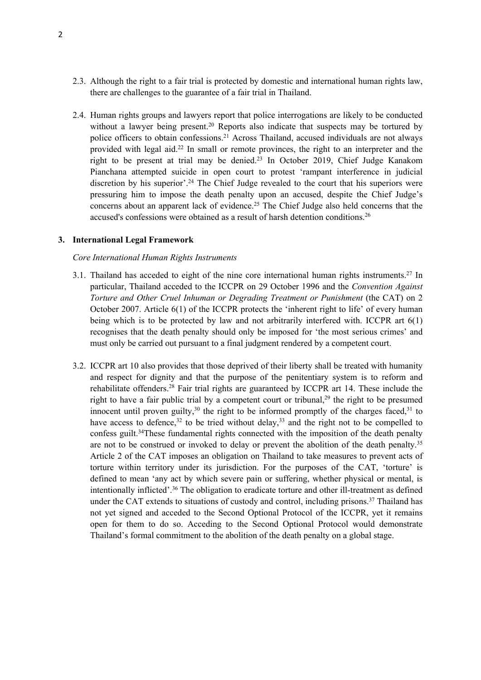- 2.3. Although the right to <sup>a</sup> fair trial is protected by domestic and international human rights law, there are challenges to the guarantee of <sup>a</sup> fair trial in Thailand.
- 2.4. Human rights groups and lawyers repor<sup>t</sup> that police interrogations are likely to be conducted without a lawyer being present.<sup>20</sup> Reports also indicate that suspects may be tortured by police officers to obtain confessions. <sup>21</sup> Across Thailand, accused individuals are not always provided with legal aid. 22 In small or remote provinces, the right to an interpreter and the right to be presen<sup>t</sup> at trial may be denied. 23 In October 2019, Chief Judge Kanakom Pianchana attempted suicide in open court to protest 'rampan<sup>t</sup> interference in judicial discretion by his superior'. 24 The Chief Judge revealed to the court that his superiors were pressuring him to impose the death penalty upon an accused, despite the Chief Judge'<sup>s</sup> concerns about an apparen<sup>t</sup> lack of evidence. 25 The Chief Judge also held concerns that the accused's confessions were obtained as a result of harsh detention conditions.<sup>26</sup>

#### **3. International Legal Framework**

#### *Core International Human Rights Instruments*

- 3.1. Thailand has acceded to eight of the nine core international human rights instruments.<sup>27</sup> In particular, Thailand acceded to the ICCPR on 29 October 1996 and the *Convention Against Torture and Other Cruel Inhuman or Degrading Treatment or Punishment* (the CAT) on 2 October 2007. Article 6(1) of the ICCPR protects the 'inherent right to life' of every human being which is to be protected by law and not arbitrarily interfered with. ICCPR art 6(1) recognises that the death penalty should only be imposed for 'the most serious crimes' and must only be carried out pursuan<sup>t</sup> to <sup>a</sup> final judgment rendered by <sup>a</sup> competent court.
- 3.2. ICCPR art 10 also provides that those deprived of their liberty shall be treated with humanity and respec<sup>t</sup> for dignity and that the purpose of the penitentiary system is to reform and rehabilitate offenders.<sup>28</sup> Fair trial rights are guaranteed by ICCPR art 14. These include the right to have a fair public trial by a competent court or tribunal,<sup>29</sup> the right to be presumed innocent until proven guilty,<sup>30</sup> the right to be informed promptly of the charges faced,<sup>31</sup> to have access to defence,<sup>32</sup> to be tried without delay,<sup>33</sup> and the right not to be compelled to confess guilt. 34 These fundamental rights connected with the imposition of the death penalty are not to be construed or invoked to delay or prevent the abolition of the death penalty.<sup>35</sup> Article 2 of the CAT imposes an obligation on Thailand to take measures to preven<sup>t</sup> acts of torture within territory under its jurisdiction. For the purposes of the CAT, 'torture' is defined to mean 'any act by which severe pain or suffering, whether physical or mental, is intentionally inflicted'. 36 The obligation to eradicate torture and other ill-treatment as defined under the CAT extends to situations of custody and control, including prisons.<sup>37</sup> Thailand has not ye<sup>t</sup> signed and acceded to the Second Optional Protocol of the ICCPR, ye<sup>t</sup> it remains open for them to do so. Acceding to the Second Optional Protocol would demonstrate Thailand'<sup>s</sup> formal commitment to the abolition of the death penalty on <sup>a</sup> global stage.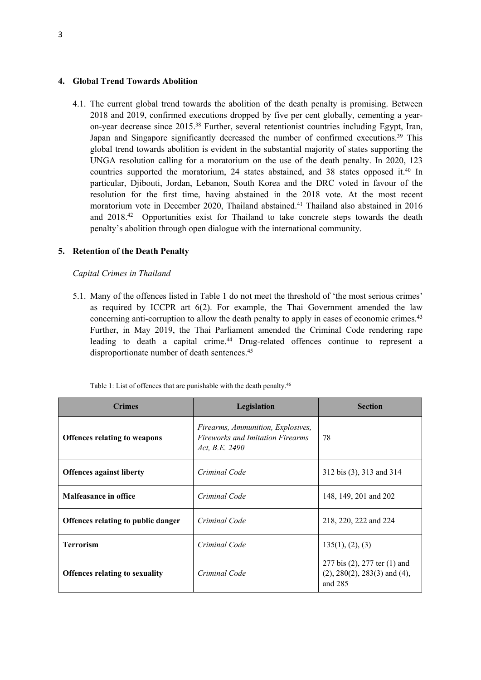#### **4. Global Trend Towards Abolition**

4.1. The current global trend towards the abolition of the death penalty is promising. Between 2018 and 2019, confirmed executions dropped by five per cent globally, cementing <sup>a</sup> yearon-year decrease since 2015.<sup>38</sup> Further, several retentionist countries including Egypt, Iran, Japan and Singapore significantly decreased the number of confirmed executions.<sup>39</sup> This global trend towards abolition is evident in the substantial majority of states supporting the UNGA resolution calling for <sup>a</sup> moratorium on the use of the death penalty. In 2020, 123 countries supported the moratorium, 24 states abstained, and 38 states opposed it.<sup>40</sup> In particular, Djibouti, Jordan, Lebanon, South Korea and the DRC voted in favour of the resolution for the first time, having abstained in the 2018 vote. At the most recent moratorium vote in December 2020, Thailand abstained. 41 Thailand also abstained in 2016 and 2018. <sup>42</sup> Opportunities exist for Thailand to take concrete steps towards the death penalty'<sup>s</sup> abolition through open dialogue with the international community.

### **5. Retention of the Death Penalty**

#### *Capital Crimes in Thailand*

5.1. Many of the offences listed in Table 1 do not meet the threshold of 'the most serious crimes' as required by ICCPR art  $6(2)$ . For example, the Thai Government amended the law concerning anti-corruption to allow the death penalty to apply in cases of economic crimes.<sup>43</sup> Further, in May 2019, the Thai Parliament amended the Criminal Code rendering rape leading to death <sup>a</sup> capital crime. <sup>44</sup> Drug-related offences continue to represen<sup>t</sup> <sup>a</sup> disproportionate number of death sentences. 45

| <b>Crimes</b>                         | Legislation                                                                                    | <b>Section</b>                                                                       |
|---------------------------------------|------------------------------------------------------------------------------------------------|--------------------------------------------------------------------------------------|
| <b>Offences relating to weapons</b>   | Firearms, Ammunition, Explosives,<br><b>Fireworks and Imitation Firearms</b><br>Act, B.E. 2490 | 78                                                                                   |
| <b>Offences against liberty</b>       | Criminal Code                                                                                  | 312 bis (3), 313 and 314                                                             |
| <b>Malfeasance in office</b>          | Criminal Code                                                                                  | 148, 149, 201 and 202                                                                |
| Offences relating to public danger    | Criminal Code                                                                                  | 218, 220, 222 and 224                                                                |
| <b>Terrorism</b>                      | Criminal Code                                                                                  | 135(1), (2), (3)                                                                     |
| <b>Offences relating to sexuality</b> | Criminal Code                                                                                  | 277 bis (2), 277 ter (1) and<br>$(2)$ , 280 $(2)$ , 283 $(3)$ and $(4)$ ,<br>and 285 |

Table 1: List of offences that are punishable with the death penalty.<sup>46</sup>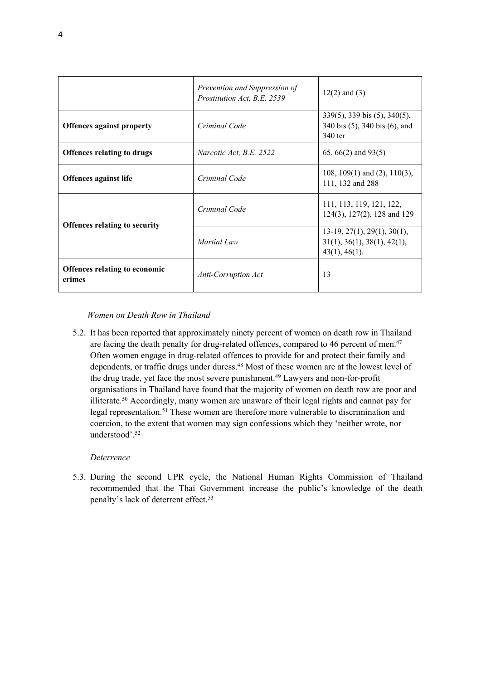|                                                | Prevention and Suppression of<br>Prostitution Act, B.E. 2539 | $12(2)$ and $(3)$                                                                       |
|------------------------------------------------|--------------------------------------------------------------|-----------------------------------------------------------------------------------------|
| <b>Offences against property</b>               | Criminal Code                                                | 339(5), 339 bis (5), 340(5),<br>340 bis (5), 340 bis (6), and<br>340 ter                |
| <b>Offences relating to drugs</b>              | Narcotic Act, B.E. 2522                                      | $65, 66(2)$ and $93(5)$                                                                 |
| <b>Offences against life</b>                   | Criminal Code                                                | 108, 109(1) and (2), 110(3),<br>111, 132 and 288                                        |
| <b>Offences relating to security</b>           | Criminal Code                                                | 111, 113, 119, 121, 122,<br>124(3), 127(2), 128 and 129                                 |
|                                                | Martial Law                                                  | $13-19$ , $27(1)$ , $29(1)$ , $30(1)$ ,<br>31(1), 36(1), 38(1), 42(1),<br>43(1), 46(1). |
| <b>Offences relating to economic</b><br>crimes | <b>Anti-Corruption Act</b>                                   | 13                                                                                      |

### *Women on Death Row in Thailand*

5.2. It has been reported that approximately ninety percen<sup>t</sup> of women on death row in Thailand are facing the death penalty for drug-related offences, compared to 46 percent of men.<sup>47</sup> Often women engage in drug-related offences to provide for and protect their family and dependents, or traffic drugs under duress. <sup>48</sup> Most of these women are at the lowest level of the drug trade, ye<sup>t</sup> face the most severe punishment. 49 Lawyers and non-for-profit organisations in Thailand have found that the majority of women on death row are poor and illiterate. <sup>50</sup> Accordingly, many women are unaware of their legal rights and cannot pay for legal representation.<sup>51</sup> These women are therefore more vulnerable to discrimination and coercion, to the extent that women may sign confessions which they 'neither wrote, nor understood'. 52

#### *Deterrence*

5.3. During the second UPR cycle, the National Human Rights Commission of Thailand recommended that the Thai Government increase the public'<sup>s</sup> knowledge of the death penalty'<sup>s</sup> lack of deterrent effect. 53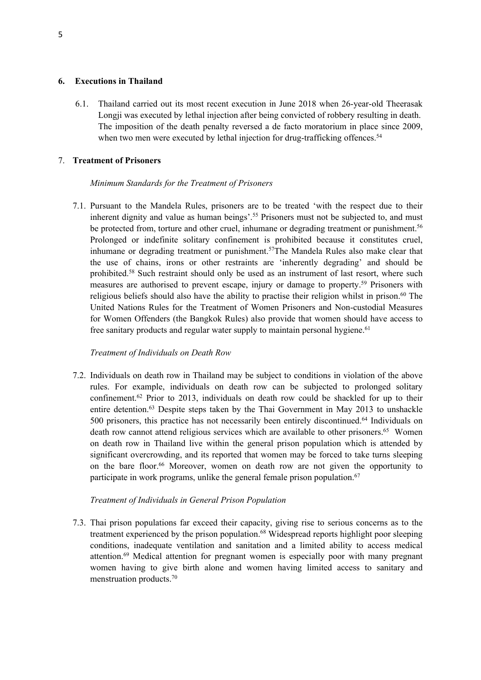### **6. Executions in Thailand**

6.1. Thailand carried out its most recent execution in June 2018 when 26-year-old Theerasak Longji was executed by lethal injection after being convicted of robbery resulting in death. The imposition of the death penalty reversed <sup>a</sup> de facto moratorium in place since 2009, when two men were executed by lethal injection for drug-trafficking offences.<sup>54</sup>

## 7. **Treatment of Prisoners**

### *Minimum Standards for the Treatment of Prisoners*

7.1. Pursuant to the Mandela Rules, prisoners are to be treated 'with the respec<sup>t</sup> due to their inherent dignity and value as human beings'. 55 Prisoners must not be subjected to, and must be protected from, torture and other cruel, inhumane or degrading treatment or punishment.<sup>56</sup> Prolonged or indefinite solitary confinement is prohibited because it constitutes cruel, inhumane or degrading treatment or punishment. 57 The Mandela Rules also make clear that the use of chains, irons or other restraints are 'inherently degrading' and should be prohibited.<sup>58</sup> Such restraint should only be used as an instrument of last resort, where such measures are authorised to preven<sup>t</sup> escape, injury or damage to property. 59 Prisoners with religious beliefs should also have the ability to practise their religion whilst in prison.<sup>60</sup> The United Nations Rules for the Treatment of Women Prisoners and Non-custodial Measures for Women Offenders (the Bangkok Rules) also provide that women should have access to free sanitary products and regular water supply to maintain personal hygiene.<sup>61</sup>

## *Treatment of Individuals on Death Row*

7.2. Individuals on death row in Thailand may be subject to conditions in violation of the above rules. For example, individuals on death row can be subjected to prolonged solitary confinement. 62 Prior to 2013, individuals on death row could be shackled for up to their entire detention. <sup>63</sup> Despite steps taken by the Thai Government in May 2013 to unshackle 500 prisoners, this practice has not necessarily been entirely discontinued. 64 Individuals on death row cannot attend religious services which are available to other prisoners.<sup>65</sup> Women on death row in Thailand live within the general prison population which is attended by significant overcrowding, and its reported that women may be forced to take turns sleeping on the bare floor. <sup>66</sup> Moreover, women on death row are not <sup>g</sup>iven the opportunity to participate in work programs, unlike the general female prison population. 67

### *Treatment of Individuals in General Prison Population*

7.3. Thai prison populations far exceed their capacity, giving rise to serious concerns as to the treatment experienced by the prison population. <sup>68</sup> Widespread reports highlight poor sleeping conditions, inadequate ventilation and sanitation and <sup>a</sup> limited ability to access medical attention.<sup>69</sup> Medical attention for pregnant women is especially poor with many pregnant women having to give birth alone and women having limited access to sanitary and menstruation products. 70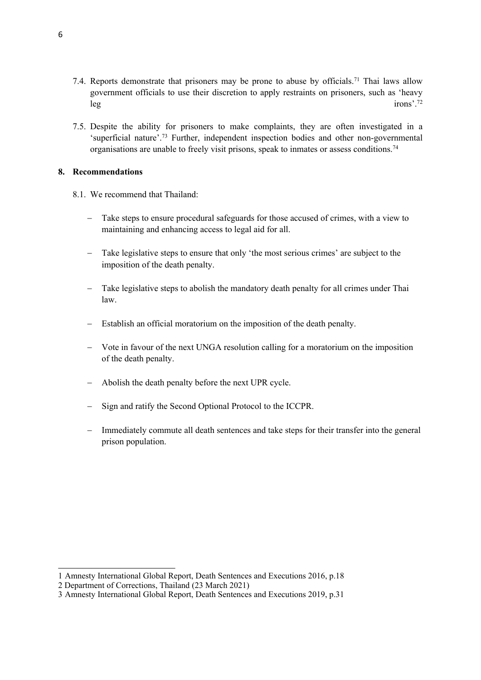- 7.4. Reports demonstrate that prisoners may be prone to abuse by officials.<sup>71</sup> Thai laws allow governmen<sup>t</sup> officials to use their discretion to apply restraints on prisoners, such as 'heavy leg irons'.  $\frac{1}{2}$ irons<sup>3</sup>
- 7.5. Despite the ability for prisoners to make complaints, they are often investigated in <sup>a</sup> 'superficial nature'.<sup>73</sup> Further, independent inspection bodies and other non-governmental organisations are unable to freely visit prisons, speak to inmates or assess conditions.<sup>74</sup>

## **8. Recommendations**

- 8.1. We recommend that Thailand:
	- Take steps to ensure procedural safeguards for those accused of crimes, with <sup>a</sup> view to maintaining and enhancing access to legal aid for all.
	- Take legislative steps to ensure that only 'the most serious crimes' are subject to the imposition of the death penalty.
	- Take legislative steps to abolish the mandatory death penalty for all crimes under Thai law.
	- $\equiv$ Establish an official moratorium on the imposition of the death penalty.
	- Vote in favour of the next UNGA resolution calling for <sup>a</sup> moratorium on the imposition of the death penalty.
	- Abolish the death penalty before the next UPR cycle.
	- Sign and ratify the Second Optional Protocol to the ICCPR.
	- Immediately commute all death sentences and take steps for their transfer into the general prison population.

<sup>1</sup> Amnesty International Global Report, Death Sentences and Executions 2016, p.18

<sup>2</sup> Department of Corrections, Thailand (23 March 2021)

<sup>3</sup> Amnesty International Global Report, Death Sentences and Executions 2019, p.31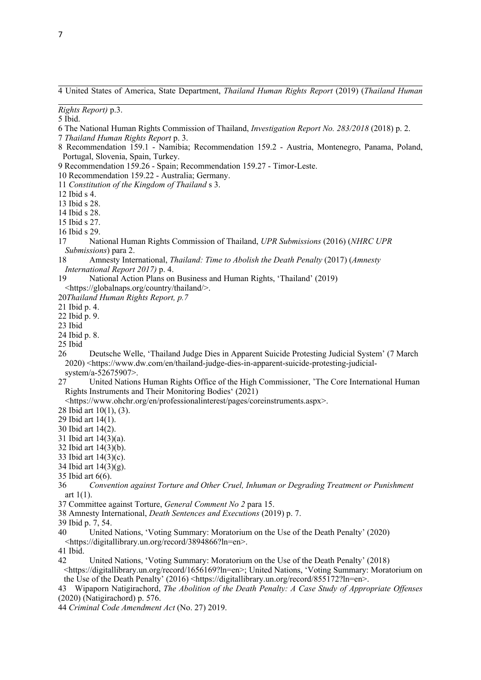- *Rights Report)* p.3.
- 5 Ibid.
- 6 The National Human Rights Commission of Thailand, *Investigation Report No. 283/2018* (2018) p. 2.
- 7 *Thailand Human Rights Report* p. 3.
- 8 Recommendation 159.1 Namibia; Recommendation 159.2 Austria, Montenegro, Panama, Poland, Portugal, Slovenia, Spain, Turkey.
- 9 Recommendation 159.26 Spain; Recommendation 159.27 Timor-Leste.
- 10 Recommendation 159.22 Australia; Germany.
- 11 *Constitution of the Kingdom of Thailand* <sup>s</sup> 3.
- 12 Ibid <sup>s</sup> 4.
- 13 Ibid <sup>s</sup> 28.
- 14 Ibid <sup>s</sup> 28.
- 15 Ibid <sup>s</sup> 27.
- 16 Ibid <sup>s</sup> 29.
- 17 National Human Rights Commission of Thailand, *UPR Submissions* (2016) (*NHRC UPR Submissions*) para 2.
- 18 Amnesty International, *Thailand: Time to Abolish the Death Penalty* (2017) (*Amnesty International Report 2017)* p. 4.
- 19 National Action Plans on Business and Human Rights, 'Thailand' (2019) <https://globalnaps.org/country/thailand/>.
- 20*Thailand Human Rights Report, p.7*
- 21 Ibid p. 4.
- 22 Ibid p. 9.
- 23 Ibid
- 24 Ibid p. 8.
- 25 Ibid
- 26 Deutsche Welle, 'Thailand Judge Dies in Apparent Suicide Protesting Judicial System' (7 March 2020) <https://www.dw.com/en/thailand-judge-dies-in-apparent-suicide-protesting-judicialsystem/a-52675907>.
- 27 United Nations Human Rights Office of the High Commissioner, 'The Core International Human Rights Instruments and Their Monitoring Bodies' (2021)
- <https://www.ohchr.org/en/professionalinterest/pages/coreinstruments.aspx>.
- 28 Ibid art 10(1), (3).
- 29 Ibid art 14(1).
- 30 Ibid art 14(2).
- 31 Ibid art 14(3)(a).
- 32 Ibid art 14(3)(b).
- 33 Ibid art 14(3)(c).
- 34 Ibid art 14(3)(g).
- 35 Ibid art 6(6).
- 36 *Convention against Torture and Other Cruel, Inhuman or Degrading Treatment or Punishment* art  $1(1)$ .
- 37 Committee against Torture, *General Comment No 2* para 15.
- 38 Amnesty International, *Death Sentences and Executions* (2019) p. 7.
- 39 Ibid p. 7, 54.
- 40 United Nations, 'Voting Summary: Moratorium on the Use of the Death Penalty' (2020) <https://digitallibrary.un.org/record/3894866?ln=en>.
- 41 Ibid.
- 42 United Nations, 'Voting Summary: Moratorium on the Use of the Death Penalty' (2018) <https://digitallibrary.un.org/record/1656169?ln=en>; United Nations, 'Voting Summary: Moratorium on the Use of the Death Penalty' (2016) <https://digitallibrary.un.org/record/855172?ln=en>.
- 43 Wipaporn Natigirachord, *The Abolition of the Death Penalty: A Case Study of Appropriate Offenses* (2020) (Natigirachord) p. 576.
- 44 *Criminal Code Amendment Act* (No. 27) 2019.

<sup>4</sup> United States of America, State Department, *Thailand Human Rights Report* (2019) (*Thailand Human*